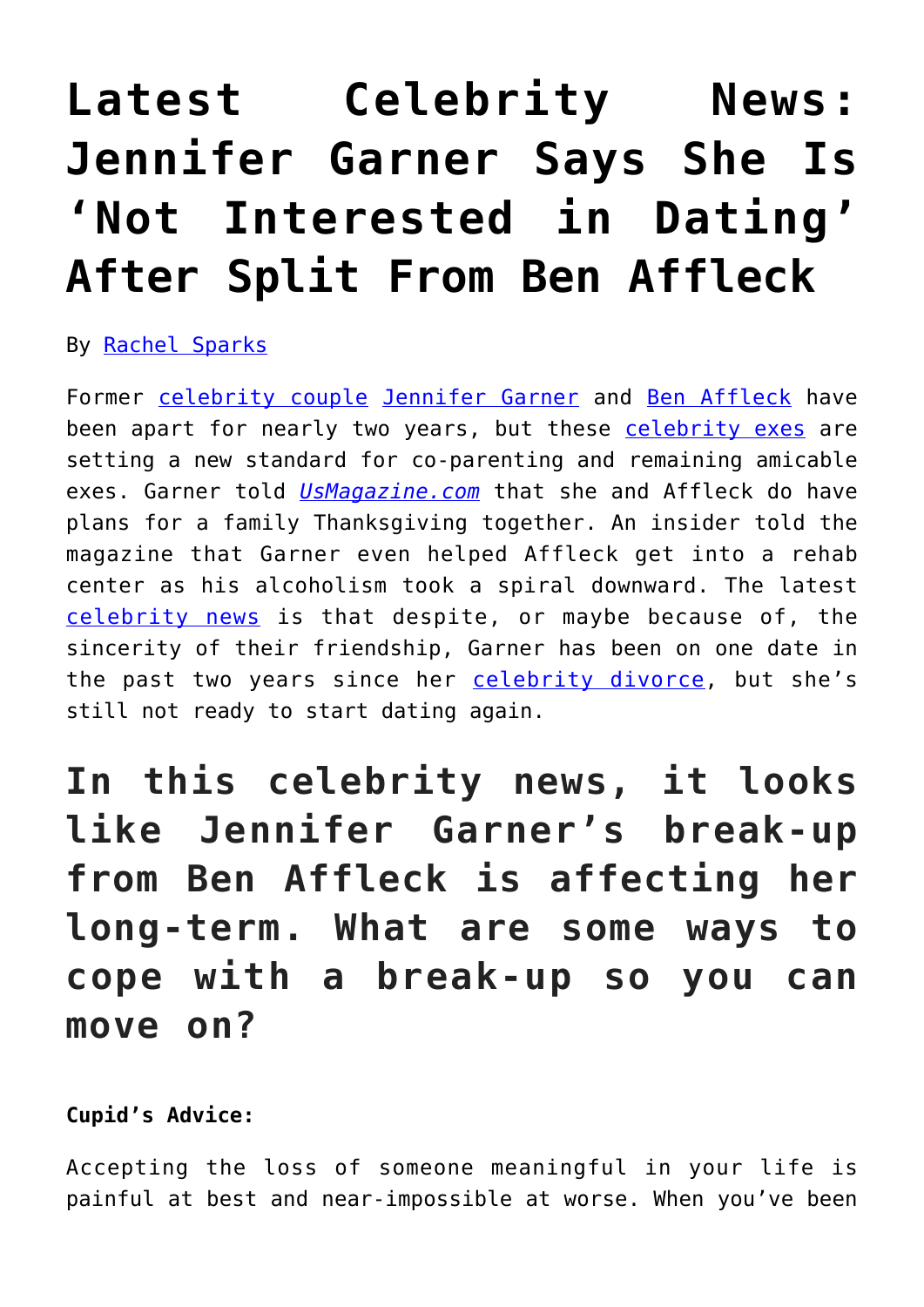## **[Latest Celebrity News:](https://cupidspulse.com/121765/jennifer-garner-not-interested-dating-after-ben-afleck/) [Jennifer Garner Says She Is](https://cupidspulse.com/121765/jennifer-garner-not-interested-dating-after-ben-afleck/) ['Not Interested in Dating'](https://cupidspulse.com/121765/jennifer-garner-not-interested-dating-after-ben-afleck/) [After Split From Ben Affleck](https://cupidspulse.com/121765/jennifer-garner-not-interested-dating-after-ben-afleck/)**

By [Rachel Sparks](http://cupidspulse.com/121112/rachel-sparks/)

Former [celebrity couple](http://cupidspulse.com/celebrity-news/celebrity-dating/) [Jennifer Garner](http://cupidspulse.com/94271/jennifer-garner/) and [Ben Affleck](http://cupidspulse.com/87708/ben-affleck/) have been apart for nearly two years, but these [celebrity exes](http://cupidspulse.com/celebrity-relationships/break-up-divorce/) are setting a new standard for co-parenting and remaining amicable exes. Garner told *[UsMagazine.com](https://www.usmagazine.com/celebrity-news/news/jennifer-garner-not-interested-in-dating-after-ben-affleck/)* that she and Affleck do have plans for a family Thanksgiving together. An insider told the magazine that Garner even helped Affleck get into a rehab center as his alcoholism took a spiral downward. The latest [celebrity news](http://cupidspulse.com/) is that despite, or maybe because of, the sincerity of their friendship, Garner has been on one date in the past two years since her [celebrity divorce](http://cupidspulse.com/celebrity-relationships/break-up-divorce/), but she's still not ready to start dating again.

**In this celebrity news, it looks like Jennifer Garner's break-up from Ben Affleck is affecting her long-term. What are some ways to cope with a break-up so you can move on?**

## **Cupid's Advice:**

Accepting the loss of someone meaningful in your life is painful at best and near-impossible at worse. When you've been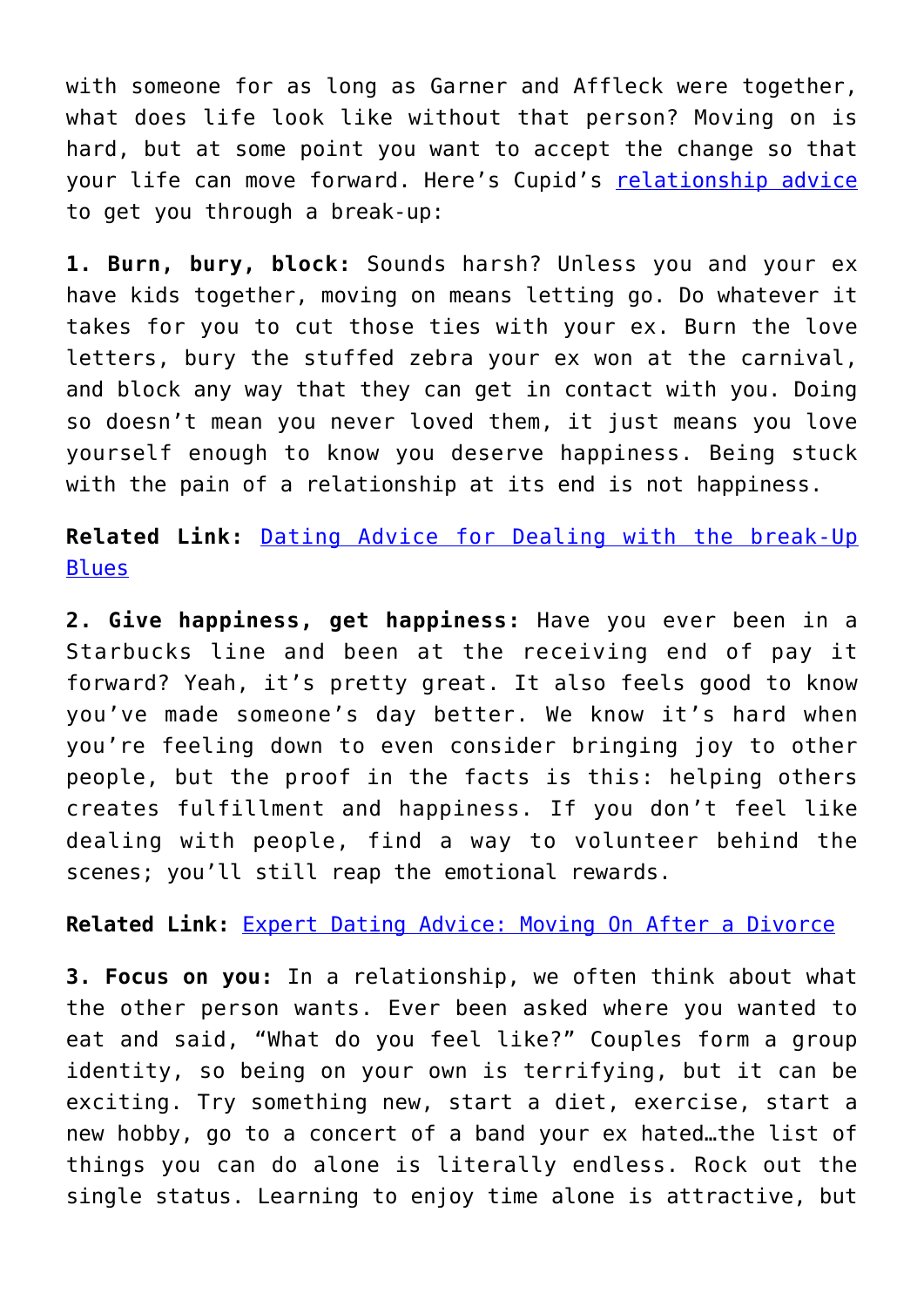with someone for as long as Garner and Affleck were together, what does life look like without that person? Moving on is hard, but at some point you want to accept the change so that your life can move forward. Here's Cupid's [relationship advice](http://cupidspulse.com/relationship-experts/) to get you through a break-up:

**1. Burn, bury, block:** Sounds harsh? Unless you and your ex have kids together, moving on means letting go. Do whatever it takes for you to cut those ties with your ex. Burn the love letters, bury the stuffed zebra your ex won at the carnival, and block any way that they can get in contact with you. Doing so doesn't mean you never loved them, it just means you love yourself enough to know you deserve happiness. Being stuck with the pain of a relationship at its end is not happiness.

**Related Link:** [Dating Advice for Dealing with the break-Up](http://cupidspulse.com/120930/david-wygant-dating-advice-the-break-up-blues/) [Blues](http://cupidspulse.com/120930/david-wygant-dating-advice-the-break-up-blues/)

**2. Give happiness, get happiness:** Have you ever been in a Starbucks line and been at the receiving end of pay it forward? Yeah, it's pretty great. It also feels good to know you've made someone's day better. We know it's hard when you're feeling down to even consider bringing joy to other people, but the proof in the facts is this: helping others creates fulfillment and happiness. If you don't feel like dealing with people, find a way to volunteer behind the scenes; you'll still reap the emotional rewards.

**Related Link:** [Expert Dating Advice: Moving On After a Divorce](http://cupidspulse.com/97402/expert-dating-advice-post-divorce/)

**3. Focus on you:** In a relationship, we often think about what the other person wants. Ever been asked where you wanted to eat and said, "What do you feel like?" Couples form a group identity, so being on your own is terrifying, but it can be exciting. Try something new, start a diet, exercise, start a new hobby, go to a concert of a band your ex hated…the list of things you can do alone is literally endless. Rock out the single status. Learning to enjoy time alone is attractive, but